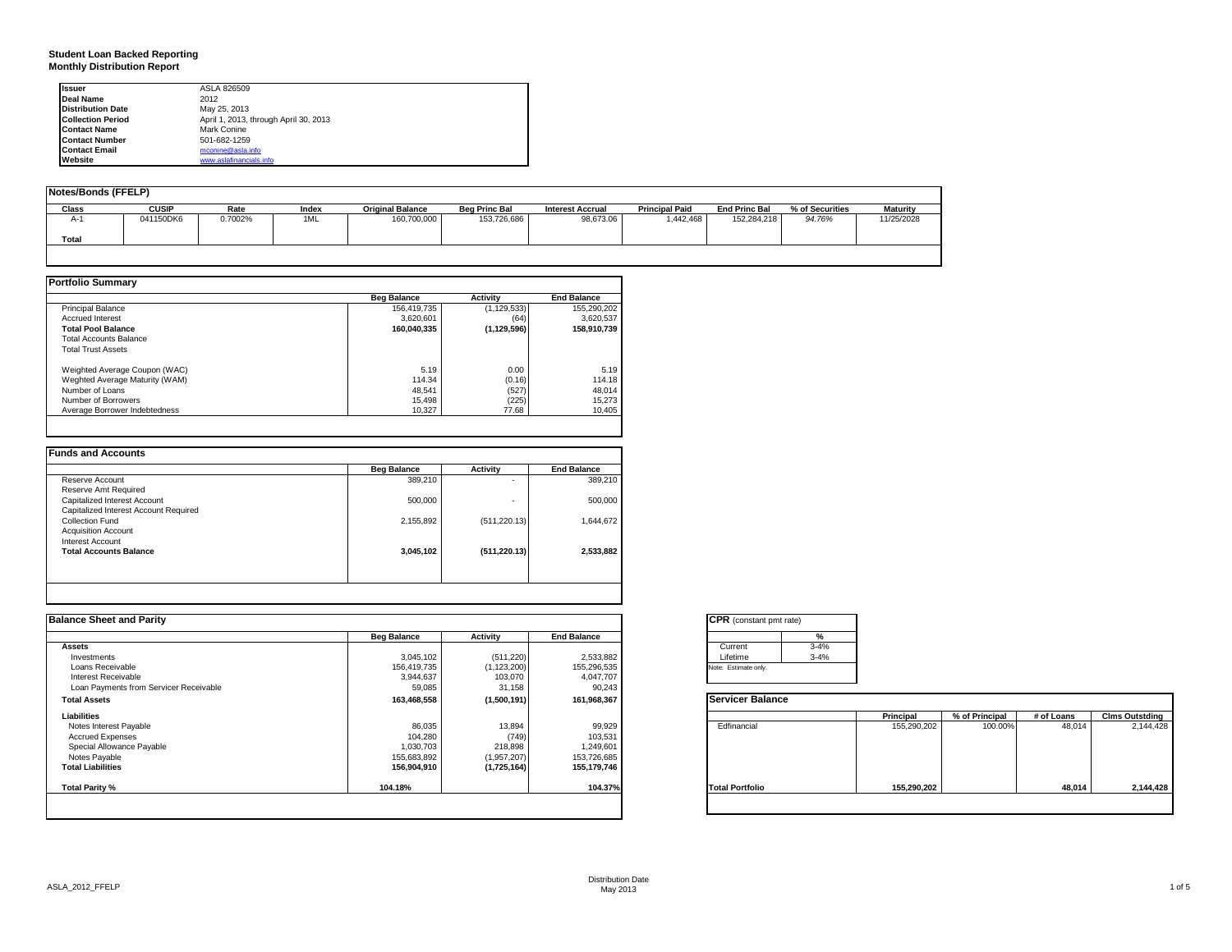## **Student Loan Backed Reporting Monthly Distribution Report**

| <b>Issuer</b>            | ASLA 826509                           |
|--------------------------|---------------------------------------|
| Deal Name                | 2012                                  |
| <b>Distribution Date</b> | May 25, 2013                          |
| <b>Collection Period</b> | April 1, 2013, through April 30, 2013 |
| <b>Contact Name</b>      | Mark Conine                           |
| <b>Contact Number</b>    | 501-682-1259                          |
| <b>Contact Email</b>     | mconine@asla.info                     |
| Website                  | www.aslafinancials.info               |

| Notes/Bonds (FFELP) |              |         |       |                         |                      |                         |                       |                      |                 |                 |
|---------------------|--------------|---------|-------|-------------------------|----------------------|-------------------------|-----------------------|----------------------|-----------------|-----------------|
| Class               | <b>CUSIP</b> | Rate    | Index | <b>Original Balance</b> | <b>Beg Princ Bal</b> | <b>Interest Accrual</b> | <b>Principal Paid</b> | <b>End Princ Bal</b> | % of Securities | <b>Maturity</b> |
| A-1                 | 041150DK6    | 0.7002% | 1ML   | 160,700,000             | 153,726,686          | 98.673.06               | 1.442.468             | 152.284.218          | 94.76%          | 11/25/2028      |
| Total               |              |         |       |                         |                      |                         |                       |                      |                 |                 |
|                     |              |         |       |                         |                      |                         |                       |                      |                 |                 |

|                                | <b>Beg Balance</b> | <b>Activity</b> | <b>End Balance</b> |
|--------------------------------|--------------------|-----------------|--------------------|
| <b>Principal Balance</b>       | 156,419,735        | (1, 129, 533)   | 155,290,202        |
| <b>Accrued Interest</b>        | 3,620,601          | (64)            | 3,620,537          |
| <b>Total Pool Balance</b>      | 160.040.335        | (1, 129, 596)   | 158.910.739        |
| <b>Total Accounts Balance</b>  |                    |                 |                    |
| <b>Total Trust Assets</b>      |                    |                 |                    |
| Weighted Average Coupon (WAC)  | 5.19               | 0.00            | 5.19               |
| Weghted Average Maturity (WAM) | 114.34             | (0.16)          | 114.18             |
| Number of Loans                | 48.541             | (527)           | 48,014             |
| Number of Borrowers            | 15.498             | (225)           | 15.273             |
| Average Borrower Indebtedness  | 10.327             | 77.68           | 10,405             |

| 389,210   | ۰             | 389,210   |
|-----------|---------------|-----------|
|           |               |           |
|           |               |           |
| 500,000   | ۰             | 500,000   |
|           |               |           |
| 2,155,892 | (511, 220.13) | 1,644,672 |
|           |               |           |
|           |               |           |
| 3,045,102 | (511, 220.13) | 2,533,882 |
|           |               |           |
|           |               |           |

| <b>Balance Sheet and Parity</b>        |                    |               |                    | <b>CPR</b> (constant pmt rate) |             |                |            |                       |
|----------------------------------------|--------------------|---------------|--------------------|--------------------------------|-------------|----------------|------------|-----------------------|
|                                        | <b>Beg Balance</b> | Activity      | <b>End Balance</b> | %                              |             |                |            |                       |
| <b>Assets</b>                          |                    |               |                    | $3 - 4%$<br>Current            |             |                |            |                       |
| Investments                            | 3,045,102          | (511, 220)    | 2,533,882          | $3 - 4%$<br>Lifetime           |             |                |            |                       |
| Loans Receivable                       | 156,419,735        | (1, 123, 200) | 155,296,535        | Note: Estimate only.           |             |                |            |                       |
| Interest Receivable                    | 3,944,637          | 103,070       | 4,047,707          |                                |             |                |            |                       |
| Loan Payments from Servicer Receivable | 59,085             | 31,158        | 90,243             |                                |             |                |            |                       |
| <b>Total Assets</b>                    | 163,468,558        | (1,500,191)   | 161,968,367        | <b>Servicer Balance</b>        |             |                |            |                       |
| Liabilities                            |                    |               |                    |                                | Principal   | % of Principal | # of Loans | <b>Clms Outstding</b> |
| Notes Interest Payable                 | 86,035             | 13,894        | 99,929             | Edfinancial                    | 155,290,202 | 100.00%        | 48,014     | 2,144,428             |
| <b>Accrued Expenses</b>                | 104,280            | (749)         | 103,531            |                                |             |                |            |                       |
| Special Allowance Payable              | 1,030,703          | 218,898       | 1,249,601          |                                |             |                |            |                       |
| Notes Payable                          | 155,683,892        | (1,957,207)   | 153,726,685        |                                |             |                |            |                       |
| <b>Total Liabilities</b>               | 156,904,910        | (1,725,164)   | 155,179,746        |                                |             |                |            |                       |
| Total Parity %                         | 104.18%            |               | 104.37%            | <b>Total Portfolio</b>         | 155,290,202 |                | 48,014     | 2,144,428             |

| Current  | $3 - 4%$ |
|----------|----------|
| Lifetime | $3 - 4%$ |

|                        | Principal   | % of Principal | # of Loans | <b>Clms Outstding</b> |
|------------------------|-------------|----------------|------------|-----------------------|
| Edfinancial            | 155,290,202 | 100.00%        | 48,014     | 2,144,428             |
| <b>Total Portfolio</b> | 155,290,202 |                | 48,014     | 2,144,428             |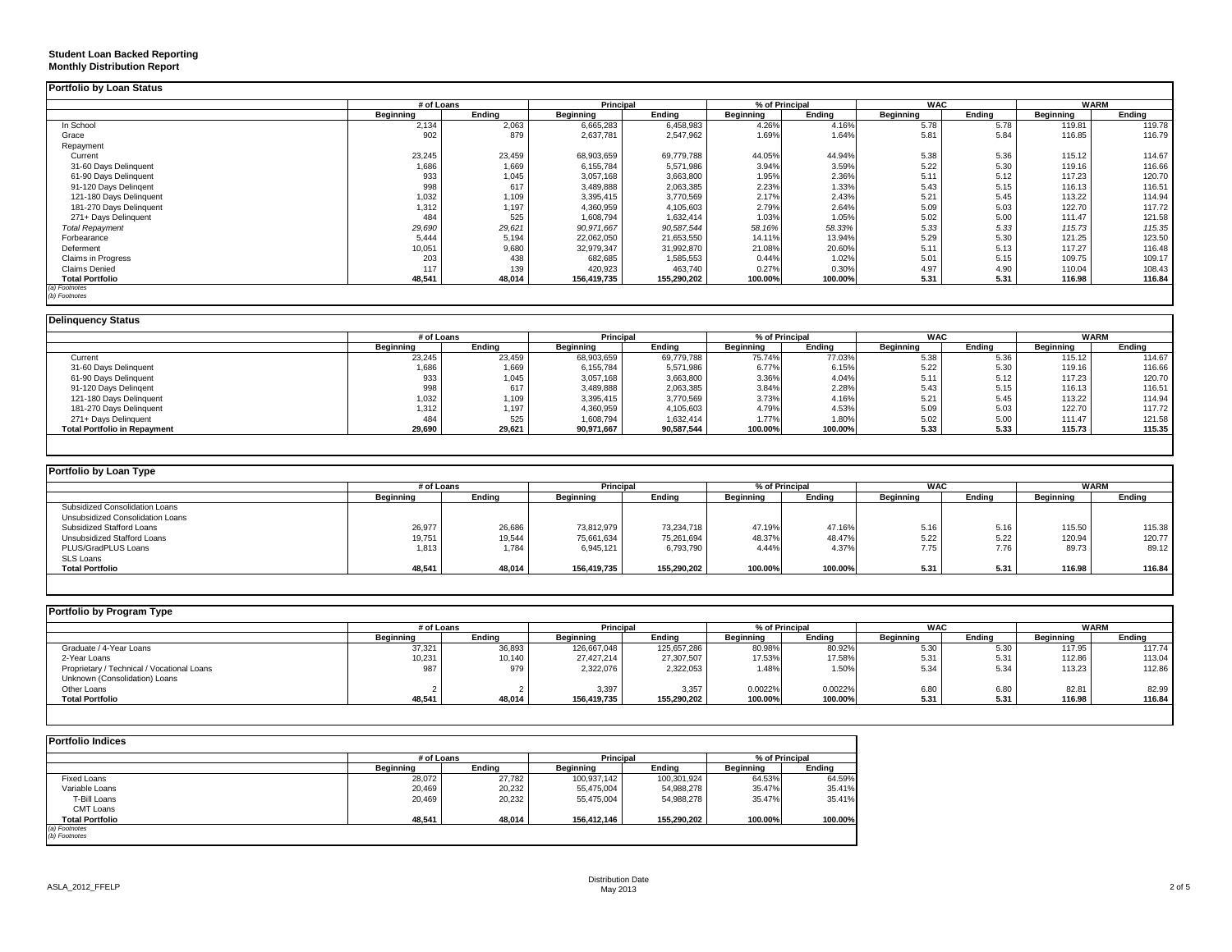| Portfolio by Loan Status                   |                  |                |                  |             |                  |                |                  |        |                  |             |
|--------------------------------------------|------------------|----------------|------------------|-------------|------------------|----------------|------------------|--------|------------------|-------------|
|                                            | # of Loans       |                | Principal        |             |                  | % of Principal | <b>WAC</b>       |        |                  | <b>WARM</b> |
|                                            | <b>Beginning</b> | Ending         | <b>Beginning</b> | Ending      | <b>Beginning</b> | Ending         | <b>Beginning</b> | Ending | <b>Beginning</b> | Ending      |
| In School                                  | 2,134            | 2,063          | 6,665,283        | 6,458,983   | 4.26%            | 4.16%          | 5.78             | 5.78   | 119.81           | 119.78      |
| Grace                                      | 902              | 879            | 2,637,781        | 2,547,962   | 1.69%            | 1.64%          | 5.81             | 5.84   | 116.85           | 116.79      |
| Repayment                                  |                  |                |                  |             |                  |                |                  |        |                  |             |
| Current                                    | 23,245           | 23,459         | 68,903,659       | 69,779,788  | 44.05%           | 44.94%         | 5.38             | 5.36   | 115.12           | 114.67      |
| 31-60 Days Delinquent                      | 1,686            | 1.669          | 6.155.784        | 5,571,986   | 3.94%            | 3.59%          | 5.22             | 5.30   | 119.16           | 116.66      |
| 61-90 Days Delinquent                      | 933              | 1,045          | 3,057,168        | 3,663,800   | 1.95%            | 2.36%          | 5.11             | 5.12   | 117.23           | 120.70      |
| 91-120 Days Delingent                      | 998              | 617            | 3.489.888        | 2,063,385   | 2.23%            | 1.33%          | 5.43             | 5.15   | 116.13           | 116.51      |
| 121-180 Days Delinquent                    | 1,032            | 1,109          | 3,395,415        | 3,770,569   | 2.17%            | 2.43%          | 5.21             | 5.45   | 113.22           | 114.94      |
| 181-270 Days Delinquent                    | 1,312            | 1,197          | 4,360,959        | 4,105,603   | 2.79%            | 2.64%          | 5.09             | 5.03   | 122.70           | 117.72      |
| 271+ Days Delinquent                       | 484              | 525            | 1,608,794        | 1,632,414   | 1.03%            | 1.05%          | 5.02             | 5.00   | 111.47           | 121.58      |
| <b>Total Repayment</b>                     | 29,690           | 29,621         | 90,971,667       | 90,587,544  | 58.16%           | 58.33%         | 5.33             | 5.33   | 115.73           | 115.35      |
| Forbearance                                | 5.444            | 5.194          | 22.062.050       | 21,653,550  | 14.11%           | 13.94%         | 5.29             | 5.30   | 121.25           | 123.50      |
| Deferment                                  | 10,051           | 9,680          | 32,979,347       | 31,992,870  | 21.08%           | 20.60%         | 5.11             | 5.13   | 117.27           | 116.48      |
| Claims in Progress                         | 203              | 438            | 682,685          | 1,585,553   | 0.44%            | 1.02%          | 5.01             | 5.15   | 109.75           | 109.17      |
| <b>Claims Denied</b>                       | 117              | 139            | 420,923          | 463,740     | 0.27%            | 0.30%          | 4.97             | 4.90   | 110.04           | 108.43      |
| <b>Total Portfolio</b>                     | 48,541           | 48.014         | 156,419,735      | 155,290,202 | 100.00%          | 100.00%        | 5.31             | 5.31   | 116.98           | 116.84      |
| (a) Footnotes                              |                  |                |                  |             |                  |                |                  |        |                  |             |
| (b) Footnotes                              |                  |                |                  |             |                  |                |                  |        |                  |             |
| <b>Delinguency Status</b>                  |                  |                |                  |             |                  |                |                  |        |                  |             |
|                                            | # of Loans       |                | Principal        |             |                  | % of Principal | <b>WAC</b>       |        |                  | <b>WARM</b> |
|                                            | <b>Beginning</b> | Ending         | <b>Beginning</b> | Ending      | <b>Beginning</b> | Ending         | <b>Beginning</b> | Ending | <b>Beginning</b> | Ending      |
| Current                                    | 23,245           | 23,459         | 68,903,659       | 69,779,788  | 75.74%           | 77.03%         | 5.38             | 5.36   | 115.12           | 114.67      |
| 31-60 Days Delinquent                      | 1,686            | 1,669          | 6,155,784        | 5,571,986   | 6.77%            | 6.15%          | 5.22             | 5.30   | 119.16           | 116.66      |
| 61-90 Days Delinquent                      | 933              | 1,045          | 3,057,168        | 3,663,800   | 3.36%            | 4.04%          | 5.11             | 5.12   | 117.23           | 120.70      |
| 91-120 Days Delingent                      | 998              | 617            | 3,489,888        | 2,063,385   | 3.84%            | 2.28%          | 5.43             | 5.15   | 116.13           | 116.51      |
| 121-180 Days Delinquent                    | 1,032            | 1,109          | 3,395,415        | 3,770,569   | 3.73%            | 4.16%          | 5.21             | 5.45   | 113.22           | 114.94      |
| 181-270 Days Delinquent                    | 1,312            | 1.197          | 4,360,959        | 4,105,603   | 4.79%            | 4.53%          | 5.09             | 5.03   | 122.70           | 117.72      |
| 271+ Days Delinquent                       | 484              | 525            | 1,608,794        | 1,632,414   | 1.77%            | 1.80%          | 5.02             | 5.00   | 111.47           | 121.58      |
| <b>Total Portfolio in Repayment</b>        | 29,690           | 29,621         | 90,971,667       | 90,587,544  | 100.00%          | 100.00%        | 5.33             | 5.33   | 115.73           | 115.35      |
|                                            |                  |                |                  |             |                  |                |                  |        |                  |             |
| Portfolio by Loan Type                     |                  |                |                  |             |                  |                |                  |        |                  |             |
|                                            | # of Loans       |                | Principal        |             |                  | % of Principal | <b>WAC</b>       |        |                  | <b>WARM</b> |
|                                            | <b>Beginning</b> | Ending         | <b>Beginning</b> | Ending      | <b>Beginning</b> | Ending         | <b>Beginning</b> | Ending | <b>Beginning</b> | Ending      |
| Subsidized Consolidation Loans             |                  |                |                  |             |                  |                |                  |        |                  |             |
| Unsubsidized Consolidation Loans           |                  |                |                  |             |                  |                |                  |        |                  |             |
| Subsidized Stafford Loans                  | 26,977           | 26,686         | 73,812,979       | 73,234,718  | 47.19%           | 47.16%         | 5.16             | 5.16   | 115.50           | 115.38      |
| Unsubsidized Stafford Loans                | 19,751           | 19,544         | 75,661,634       | 75,261,694  | 48.37%           | 48.47%         | 5.22             | 5.22   | 120.94           | 120.77      |
| PLUS/GradPLUS Loans                        | 1,813            | 1,784          | 6,945,121        | 6,793,790   | 4.44%            | 4.37%          | 7.75             | 7.76   | 89.73            | 89.12       |
| <b>SLS Loans</b>                           |                  |                |                  |             |                  |                |                  |        |                  |             |
| <b>Total Portfolio</b>                     | 48.541           | 48.014         | 156.419.735      | 155.290.202 | 100.00%          | 100.00%        | 5.31             | 5.31   | 116.98           | 116.84      |
|                                            |                  |                |                  |             |                  |                |                  |        |                  |             |
| Portfolio by Program Type                  |                  |                |                  |             |                  |                |                  |        |                  |             |
|                                            | # of Loans       |                | Principal        |             |                  | % of Principal | <b>WAC</b>       |        |                  | <b>WARM</b> |
|                                            | <b>Beginning</b> | Ending         | <b>Beginning</b> | Ending      | <b>Beginning</b> | Ending         | <b>Beginning</b> | Ending | <b>Beginning</b> | Ending      |
| Graduate / 4-Year Loans                    | 37,321           | 36,893         | 126,667,048      | 125,657,286 | 80.98%           | 80.92%         | 5.30             | 5.30   | 117.95           | 117.74      |
| 2-Year Loans                               | 10,231           | 10,140         | 27,427,214       | 27,307,507  | 17.53%           | 17.58%         | 5.31             | 5.31   | 112.86           | 113.04      |
| Proprietary / Technical / Vocational Loans | 987              | 979            | 2,322,076        | 2,322,053   | 1.48%            | 1.50%          | 5.34             | 5.34   | 113.23           | 112.86      |
| Unknown (Consolidation) Loans              |                  |                |                  |             |                  |                |                  |        |                  |             |
| Other Loans                                |                  | $\overline{2}$ | 3,397            | 3,357       | 0.0022%          | 0.0022%        | 6.80             | 6.80   | 82.81            | 82.99       |
| <b>Total Portfolio</b>                     | 48.541           | 48.014         | 156.419.735      | 155.290.202 | 100.00%          | 100.00%        | 5.31             | 5.31   | 116.98           | 116.84      |
|                                            |                  |                |                  |             |                  |                |                  |        |                  |             |
|                                            |                  |                |                  |             |                  |                |                  |        |                  |             |
| <b>Portfolio Indices</b>                   |                  |                |                  |             |                  |                |                  |        |                  |             |
|                                            | # of Loans       |                | Principal        |             |                  | % of Principal |                  |        |                  |             |
|                                            | <b>Beginning</b> | Ending         | <b>Beginning</b> | Ending      | <b>Beginning</b> | Ending         |                  |        |                  |             |

Fixed Loans 28,072 27,782 100,937,142 100,301,924 64.53% 64.59%

*(a) Footnotes (b) Footnotes*

**Student Loan Backed Reporting Monthly Distribution Report**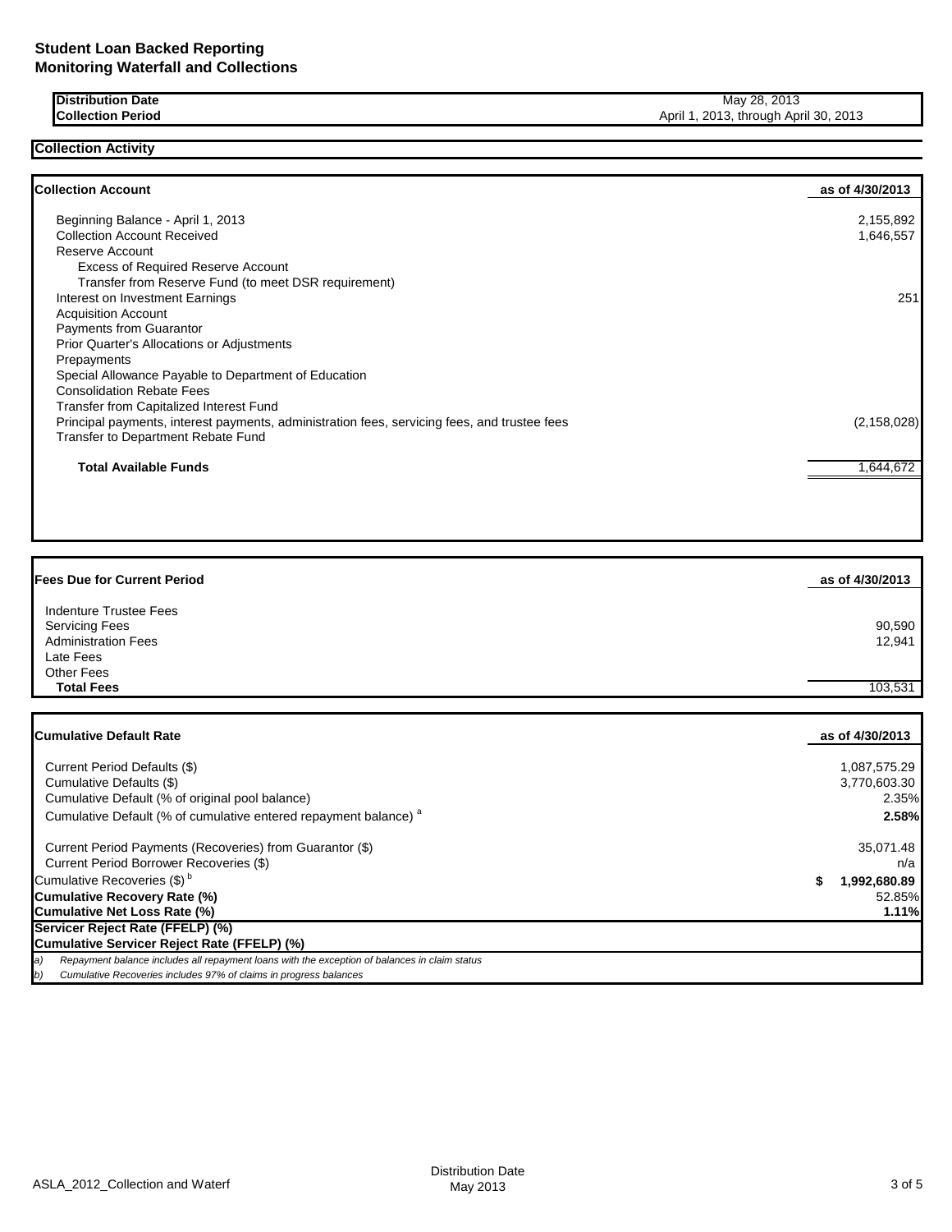**Collection Activity**

**Distribution Date** May 28, 2013<br> **Collection Period** May 28, 2013<br> **Collection Period** April 1, 2013, through Apr April 1, 2013, through April 30, 2013

| <b>Collection Account</b>                                                                    | as of 4/30/2013 |
|----------------------------------------------------------------------------------------------|-----------------|
| Beginning Balance - April 1, 2013                                                            | 2,155,892       |
| <b>Collection Account Received</b>                                                           | 1,646,557       |
| Reserve Account                                                                              |                 |
| <b>Excess of Required Reserve Account</b>                                                    |                 |
| Transfer from Reserve Fund (to meet DSR requirement)                                         |                 |
| Interest on Investment Earnings                                                              | 251             |
| <b>Acquisition Account</b>                                                                   |                 |
| <b>Payments from Guarantor</b>                                                               |                 |
| Prior Quarter's Allocations or Adjustments                                                   |                 |
| Prepayments                                                                                  |                 |
| Special Allowance Payable to Department of Education                                         |                 |
| <b>Consolidation Rebate Fees</b>                                                             |                 |
| <b>Transfer from Capitalized Interest Fund</b>                                               |                 |
| Principal payments, interest payments, administration fees, servicing fees, and trustee fees | (2, 158, 028)   |
| Transfer to Department Rebate Fund                                                           |                 |
| <b>Total Available Funds</b>                                                                 | 1,644,672       |

| <b>Fees Due for Current Period</b>                                            | as of 4/30/2013  |
|-------------------------------------------------------------------------------|------------------|
| Indenture Trustee Fees<br><b>Servicing Fees</b><br><b>Administration Fees</b> | 90,590<br>12,941 |
| Late Fees<br><b>Other Fees</b>                                                |                  |
| <b>Total Fees</b>                                                             | 103,531          |

| <b>ICumulative Default Rate</b>                                                                     | as of 4/30/2013 |
|-----------------------------------------------------------------------------------------------------|-----------------|
|                                                                                                     |                 |
| Current Period Defaults (\$)                                                                        | 1,087,575.29    |
| Cumulative Defaults (\$)                                                                            | 3,770,603.30    |
| Cumulative Default (% of original pool balance)                                                     | 2.35%           |
| Cumulative Default (% of cumulative entered repayment balance) <sup>a</sup>                         | 2.58%           |
| Current Period Payments (Recoveries) from Guarantor (\$)                                            | 35,071.48       |
| Current Period Borrower Recoveries (\$)                                                             | n/a             |
| Cumulative Recoveries (\$) <sup>b</sup>                                                             | 1,992,680.89    |
| Cumulative Recovery Rate (%)                                                                        | 52.85%          |
| Cumulative Net Loss Rate (%)                                                                        | 1.11%           |
| Servicer Reject Rate (FFELP) (%)                                                                    |                 |
| Cumulative Servicer Reject Rate (FFELP) (%)                                                         |                 |
| Repayment balance includes all repayment loans with the exception of balances in claim status<br>a) |                 |
| Cumulative Recoveries includes 97% of claims in progress balances<br>b)                             |                 |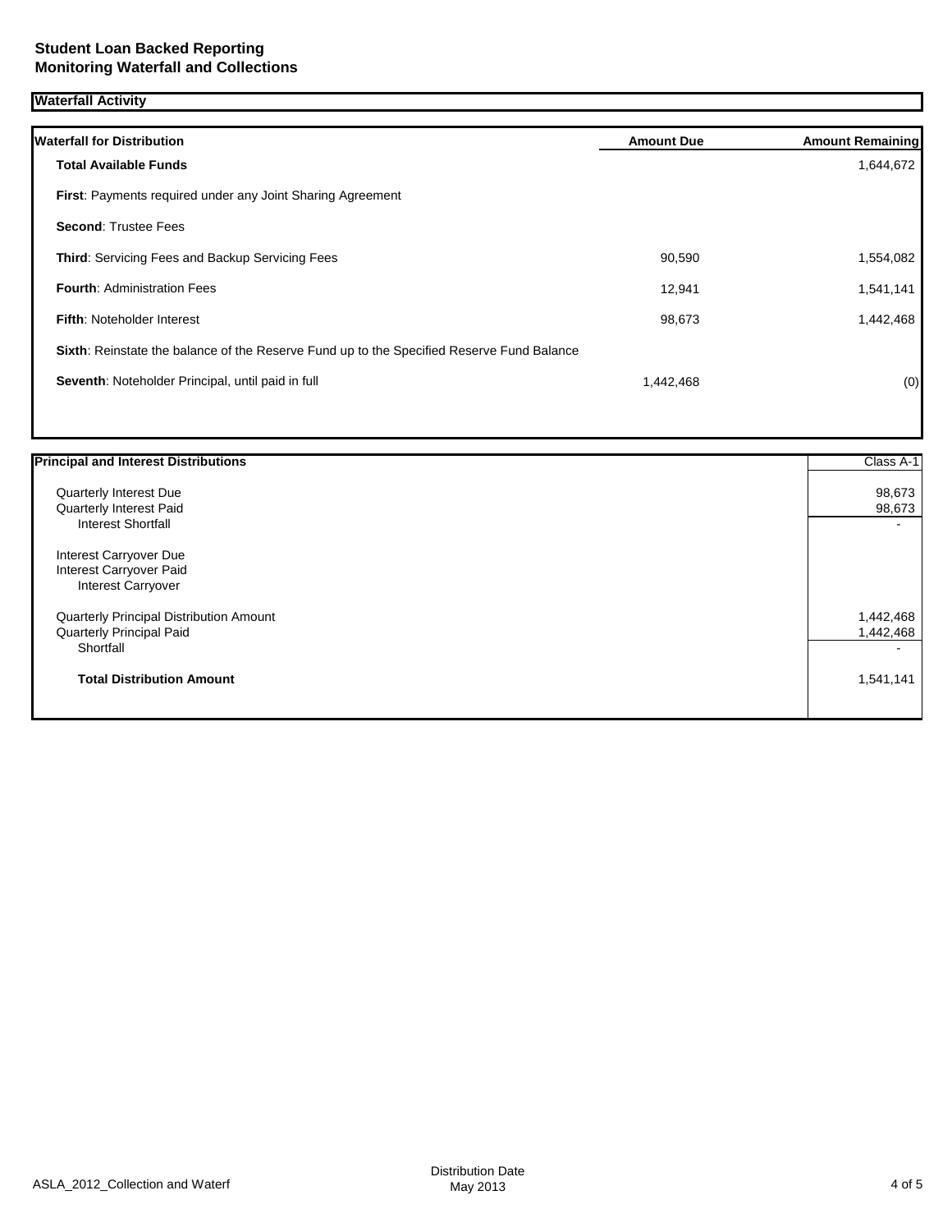| Waterfall Activity |
|--------------------|
|--------------------|

| <b>Waterfall for Distribution</b>                                                         | <b>Amount Due</b> | <b>Amount Remaining</b> |
|-------------------------------------------------------------------------------------------|-------------------|-------------------------|
| <b>Total Available Funds</b>                                                              |                   | 1,644,672               |
| <b>First:</b> Payments required under any Joint Sharing Agreement                         |                   |                         |
| <b>Second: Trustee Fees</b>                                                               |                   |                         |
| <b>Third:</b> Servicing Fees and Backup Servicing Fees                                    | 90,590            | 1,554,082               |
| <b>Fourth: Administration Fees</b>                                                        | 12,941            | 1,541,141               |
| <b>Fifth: Noteholder Interest</b>                                                         | 98,673            | 1,442,468               |
| Sixth: Reinstate the balance of the Reserve Fund up to the Specified Reserve Fund Balance |                   |                         |
| Seventh: Noteholder Principal, until paid in full                                         | 1,442,468         | (0)                     |
|                                                                                           |                   |                         |

| <b>Principal and Interest Distributions</b> | Class A-1 |
|---------------------------------------------|-----------|
| <b>Quarterly Interest Due</b>               | 98,673    |
| Quarterly Interest Paid                     | 98,673    |
| <b>Interest Shortfall</b>                   |           |
| Interest Carryover Due                      |           |
| Interest Carryover Paid                     |           |
| <b>Interest Carryover</b>                   |           |
| Quarterly Principal Distribution Amount     | 1,442,468 |
| Quarterly Principal Paid                    | 1,442,468 |
| Shortfall                                   |           |
| <b>Total Distribution Amount</b>            | 1,541,141 |
|                                             |           |